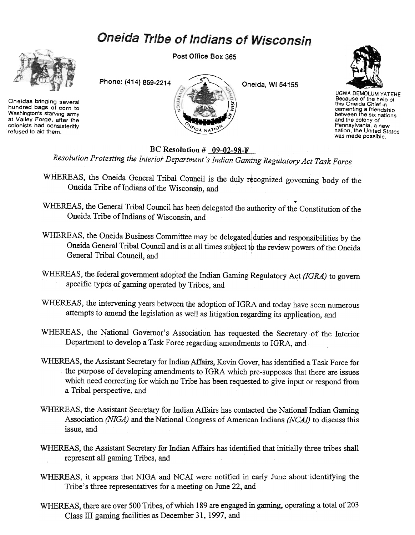# Oneida Tribe of Indians of Wisconsin



Oneidas bringing several hundred bags of corn to Washington's starving army at Valley Forge, after the colonists had consistently refused to aid them.

Post Office Box 365





UGWA DEMOLUM YATEHE Because of the help of this Oneida Chief in cementing a friendship between the six nations and the colony of Pennsylvania, a new<br>nation, the United State was made possible.

BC Resolution  $#$  09-02-98-F

Resolution Protesting the Interior Department's Indian Gaming Regulatory Act Task Force

- WHEREAS, the Oneida General Tribal Council is the duly recognized governing body of the Oneida Tribe of Indians of the Wisconsin, and
- WHEREAS, the General Tribal Council has been delegated the authority of the Constitution of the Oneida Tribe of Indians of Wisconsin, and
- WHEREAS, the Oneida Business Committee may be delegated duties and responsibilities by the Oneida General Tribal Council and is at all times subject to the review powers of the Oneida General Tribal Council, and
- WHEREAS, the federal government adopted the Indian Gaming Regulatory Act (IGRA) to govern specific types of gaming operated by Tribes, and
- WHEREAS, the intervening years between the adoption of IGRA and today have seen numerous attempts to amend the legislation as well as litigation regarding its application, and
- WHEREAS, the National Governor's Association has requested the Secretary of the Interior Department to develop a Task Force regarding amendments to IGRA, and,
- WHEREAS, the Assistant Secretary for Indian Affairs, Kevin Gover, has identified a Task Force for the purpose of developing amendments to IGRA which pre-supposes that there are issues which need correcting for which no Tribe has been requested to give input or respond from a Tribal perspective, and
- WHEREAS, the Assistant Secretary for Indian Affairs has contacted the National Indian Gaming Association (NIGA) and the National Congress of American Indians (NCAI) to discuss this issue, and
- WHEREAS, the Assistant Secretary for Indian Affairs has identified that initially three tribes shall represent all gaming Tribes, and
- WHEREAS, it appears that NIGA and NCAI were notified in early June about identifying the Tribe's three representatives for a meeting on June 22, and
- WHEREAS, there are over 500 Tribes, of which 189 are engaged in gaming, operating a total of 203 Class III gaming facilities as December 31, 1997, and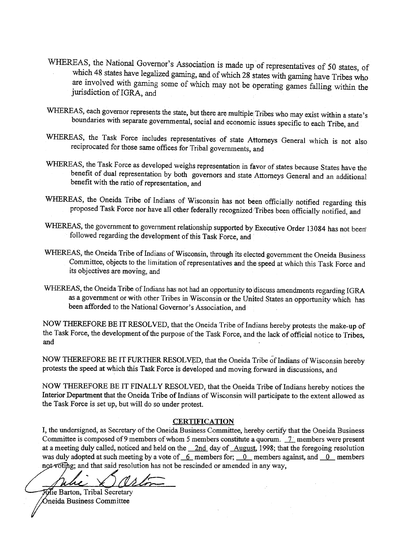- WHEREAS, the National Governor's Association is made up of representatives of 50 states, of which 48 states have legalized gaming, and of which 28 states with gaming have Tribes who are involved with gaming some of which may not be operating games falling within the jurisdiction ofIGRA, and
- WHEREAS, each governor represents the state, but there are multiple Tribes who may exist within a state's boundaries with separate governmental, social and economic issues specific to each Tribe, and
- WHEREAS, the Task Force includes representatives of state Attorneys General which is not also reciprocated for those same offices for Tribal governments, and
- WHEREAS, the Task Force as developed weighs representation in favor of states because States have the benefit of dual representation by both governors and state Attorneys General and an additional benefit with the ratio of representation, and
- WHEREAS, the Oneida Tribe of Indians of Wisconsin has not been officially notified regarding this proposed Task Force nor have all other federally recognized 'Tribes been officially notified, and
- WHEREAS, the government to government relationship supported by Executive Order 13084 has not been followed regarding the development of this Task Force, and
- WHEREAS, the Oneida Tribe of Indians of Wisconsin, through its elected government the Oneida Business Committee, objects to the limitation of representatives and the speed at which this Task Force and its objectives are moving, and
- WHEREAS, the Oneida Tribe of Indians has not had an opportunity to discuss amendments regarding IGRA as a government or with other Tribes in Wisconsin or the United States an opportunity which has been afforded to the National Governor's Association, and

NOW THEREFORE BE IT RESOLVED, that the Oneida Tribe of Indians hereby protests the make-up of the Task Force, the development of the purpose of the Task Force, and the lack of official notice to Tribes, and

NOW THEREFORE BE IT FURTHER RESOLVED, that the Oneida Tribe of Indians of Wisconsin hereby protests the speed at which this Task Force is developed and moving forward in discussions, and

NOW THEREFORE BE IT FINALLY RESOLVED, that the Oneida Tribe of Indians hereby notices the Interior Department that the Oneida Tribe of Indians of Wisconsin will participate to the extent allowed as the Task Force is set up, but will do so under protest.

#### **CERTIFICATION**

I, the undersigned, as Secretary of the Oneida Business Committee, hereby certify that the Oneida Business Committee is composed of 9 members of whom 5 members constitute a quorum.  $\frac{7}{1}$  members were present at a meeting duly called, noticed and held on the \_2nd day of August, 1998; that the foregoing resolution was duly adopted at such meeting by a vote of  $-6$  members for;  $-0$  members against, and  $-0$  members

not voting; and that said resolution has not be rescinded or amended in any way, - **Idie Barton, Tribal Secretary** 

Óneida Business Committee